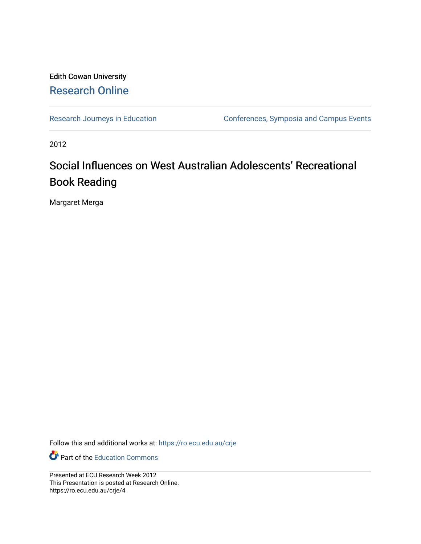#### Edith Cowan University [Research Online](https://ro.ecu.edu.au/)

[Research Journeys in Education](https://ro.ecu.edu.au/crje) Conferences, Symposia and Campus Events

2012

#### Social Influences on West Australian Adolescents' Recreational Book Reading

Margaret Merga

Follow this and additional works at: [https://ro.ecu.edu.au/crje](https://ro.ecu.edu.au/crje?utm_source=ro.ecu.edu.au%2Fcrje%2F4&utm_medium=PDF&utm_campaign=PDFCoverPages) 

**P** Part of the [Education Commons](http://network.bepress.com/hgg/discipline/784?utm_source=ro.ecu.edu.au%2Fcrje%2F4&utm_medium=PDF&utm_campaign=PDFCoverPages)

Presented at ECU Research Week 2012 This Presentation is posted at Research Online. https://ro.ecu.edu.au/crje/4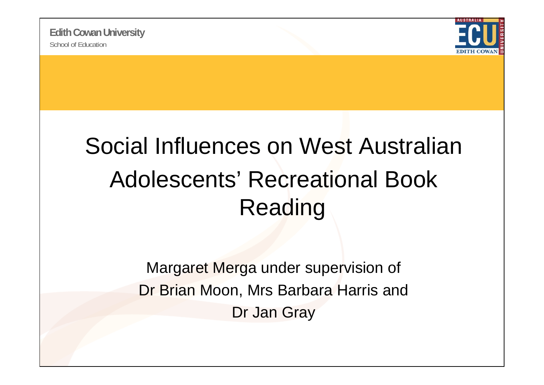

#### Social Influences on West Australian Adolescents' Recreational Book Reading

Margaret Merga under supervision of Dr Brian Moon, Mrs Barbara Harris and Dr Jan Gray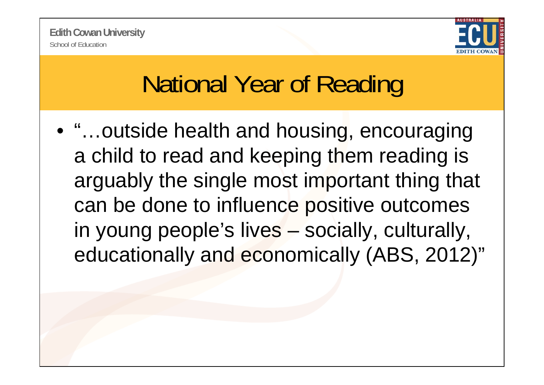

## National Year of Reading

• "…outside health and housing, encouraging a child to read and keeping them reading is arguably the single most important thing that can be done to influence positive outcomes in young people's lives – socially, culturally, educationally and economically (ABS, 2012)"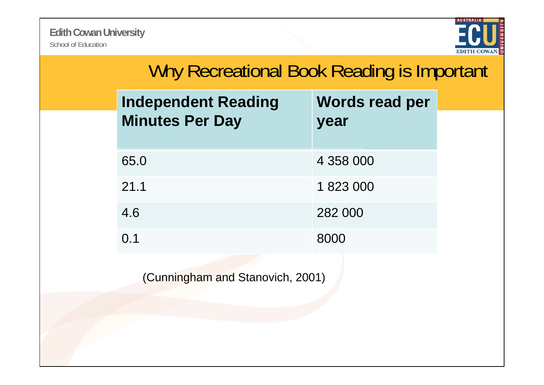

| Why Recreational Book Reading is Important           |                        |
|------------------------------------------------------|------------------------|
| <b>Independent Reading</b><br><b>Minutes Per Day</b> | Words read per<br>year |
| 65.0                                                 | 4 358 000              |
| 21.1                                                 | 1823000                |
| 4.6                                                  | 282 000                |
| 0.1                                                  | 8000                   |
|                                                      |                        |

(Cunningham and Stanovich, 2001)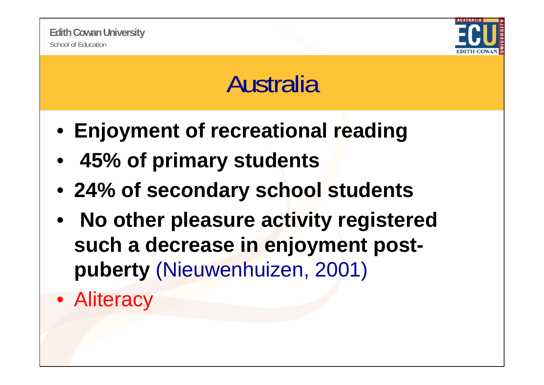

### Australia

- **Enjoyment of recreational reading**
- **45% of primary students**
- **24% of secondary school students**
- • **No other pleasure activity registered such a decrease in enjoyment postp y ubert** ( ,) Nieuwenhuizen, 2001)
- Aliteracy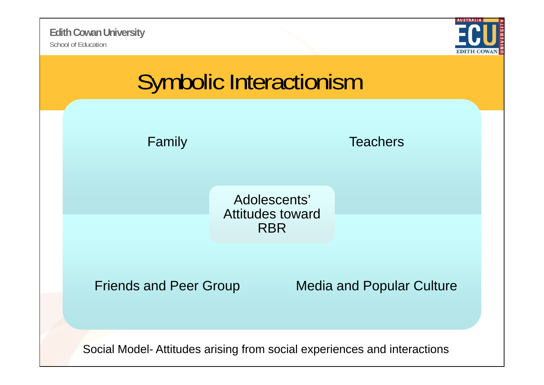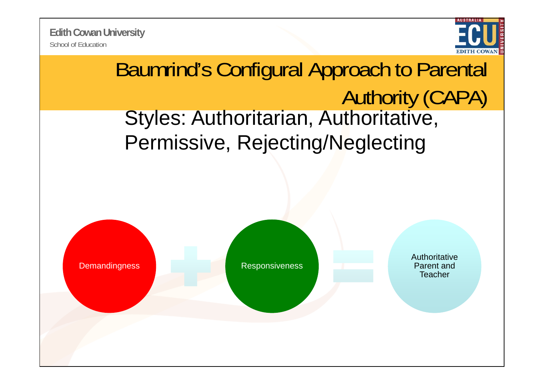School of Education**Edith Cowan University**



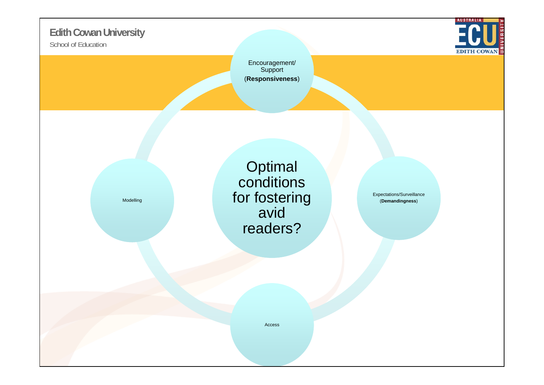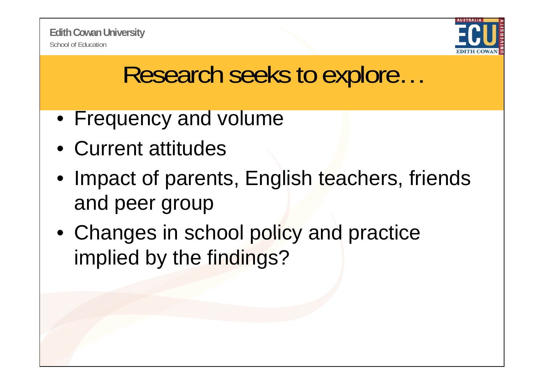

#### Research seeks to explore…

- Frequency and volume
- Current attitudes
- Impact of parents, English teachers, friends and peer group
- Changes in school policy and practice implied by the findings?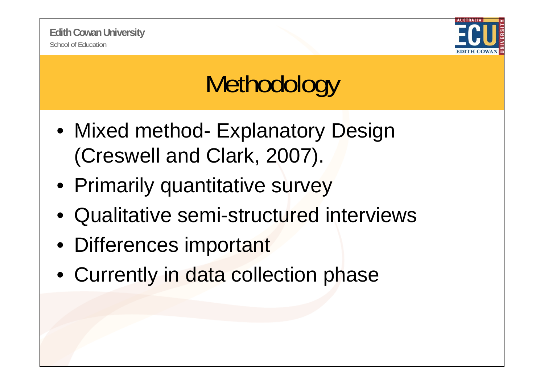

# **Methodology**

- Mixed method- Explanatory Design (Creswell and Clark, 2007).
- Primarily quantitative survey
- Qualitative semi-structured interviews
- Differences important
- Currently in data collection phase